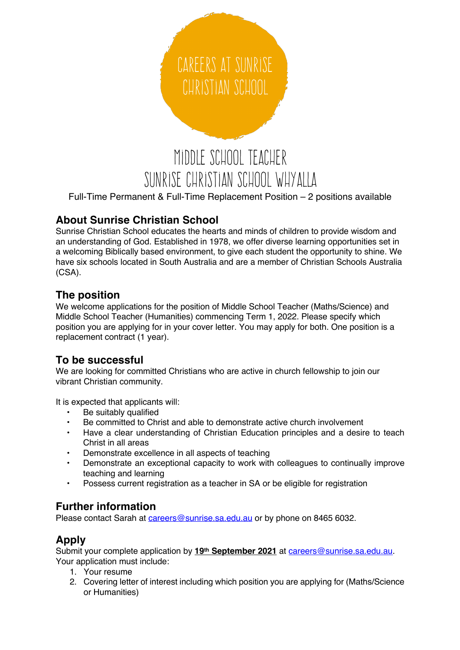# Middle School Teacher CAREERS AT SUNRISE CHRISTIAN SCHOOL

## SUNRISE CHRISTIAN SCHOOL WHYALLA

Full-Time Permanent & Full-Time Replacement Position – 2 positions available

#### **About Sunrise Christian School**

Sunrise Christian School educates the hearts and minds of children to provide wisdom and an understanding of God. Established in 1978, we offer diverse learning opportunities set in a welcoming Biblically based environment, to give each student the opportunity to shine. We have six schools located in South Australia and are a member of Christian Schools Australia (CSA).

#### **The position**

We welcome applications for the position of Middle School Teacher (Maths/Science) and Middle School Teacher (Humanities) commencing Term 1, 2022. Please specify which position you are applying for in your cover letter. You may apply for both. One position is a replacement contract (1 year).

#### **To be successful**

We are looking for committed Christians who are active in church fellowship to join our vibrant Christian community.

It is expected that applicants will:

- Be suitably qualified
- Be committed to Christ and able to demonstrate active church involvement
- Have a clear understanding of Christian Education principles and a desire to teach Christ in all areas
- Demonstrate excellence in all aspects of teaching
- Demonstrate an exceptional capacity to work with colleagues to continually improve teaching and learning
- Possess current registration as a teacher in SA or be eligible for registration

#### **Further information**

Please contact Sarah at careers@sunrise.sa.edu.au or by phone on 8465 6032.

### **Apply**

Submit your complete application by **19th September 2021** at careers@sunrise.sa.edu.au. Your application must include:

- 1. Your resume
- 2. Covering letter of interest including which position you are applying for (Maths/Science or Humanities)